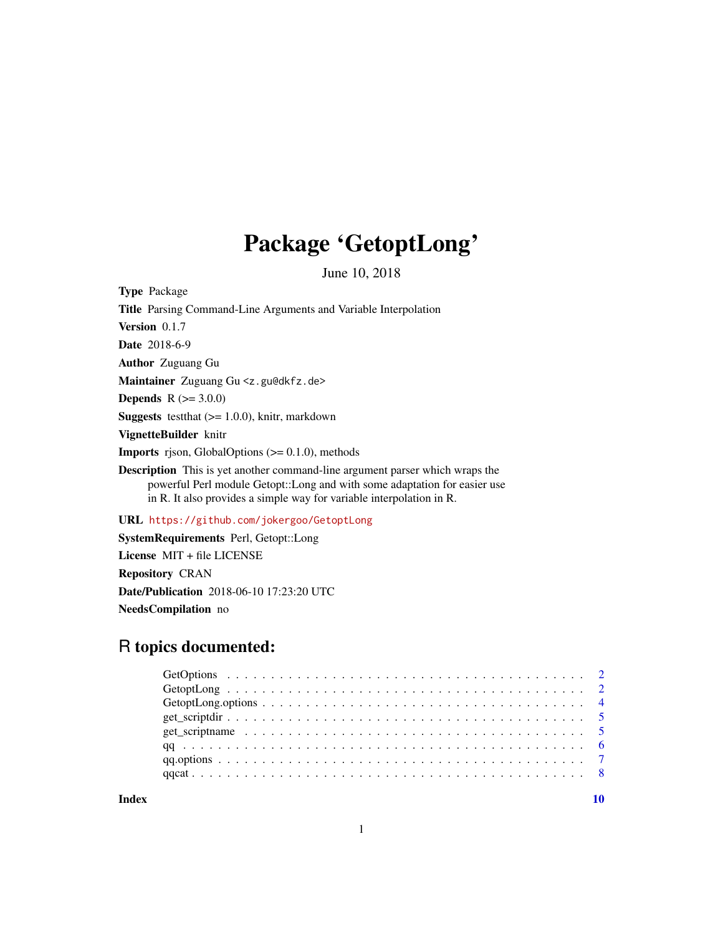## Package 'GetoptLong'

June 10, 2018

<span id="page-0-0"></span>Type Package Title Parsing Command-Line Arguments and Variable Interpolation Version 0.1.7 Date 2018-6-9 Author Zuguang Gu Maintainer Zuguang Gu <z.gu@dkfz.de> **Depends** R  $(>= 3.0.0)$ **Suggests** testthat  $(>= 1.0.0)$ , knitr, markdown VignetteBuilder knitr **Imports** rjson, GlobalOptions  $(>= 0.1.0)$ , methods Description This is yet another command-line argument parser which wraps the powerful Perl module Getopt::Long and with some adaptation for easier use in R. It also provides a simple way for variable interpolation in R.

URL <https://github.com/jokergoo/GetoptLong>

SystemRequirements Perl, Getopt::Long License MIT + file LICENSE Repository CRAN Date/Publication 2018-06-10 17:23:20 UTC NeedsCompilation no

### R topics documented:

 $\blacksquare$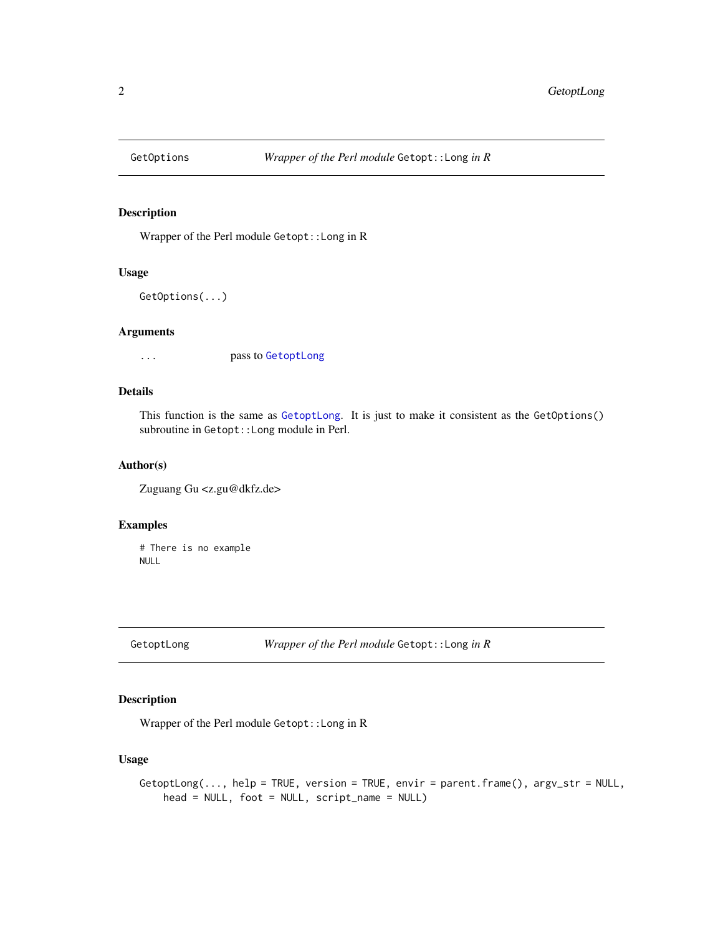<span id="page-1-0"></span>

#### Description

Wrapper of the Perl module Getopt::Long in R

#### Usage

```
GetOptions(...)
```
#### Arguments

... pass to [GetoptLong](#page-1-1)

#### Details

This function is the same as [GetoptLong](#page-1-1). It is just to make it consistent as the GetOptions() subroutine in Getopt::Long module in Perl.

#### Author(s)

Zuguang Gu <z.gu@dkfz.de>

#### Examples

```
# There is no example
NULL
```
<span id="page-1-1"></span>GetoptLong *Wrapper of the Perl module* Getopt::Long *in R*

#### Description

Wrapper of the Perl module Getopt::Long in R

#### Usage

```
GetoptLong(..., help = TRUE, version = TRUE, envir = parent.frame(), argv_str = NULL,
    head = NULL, foot = NULL, script_name = NULL)
```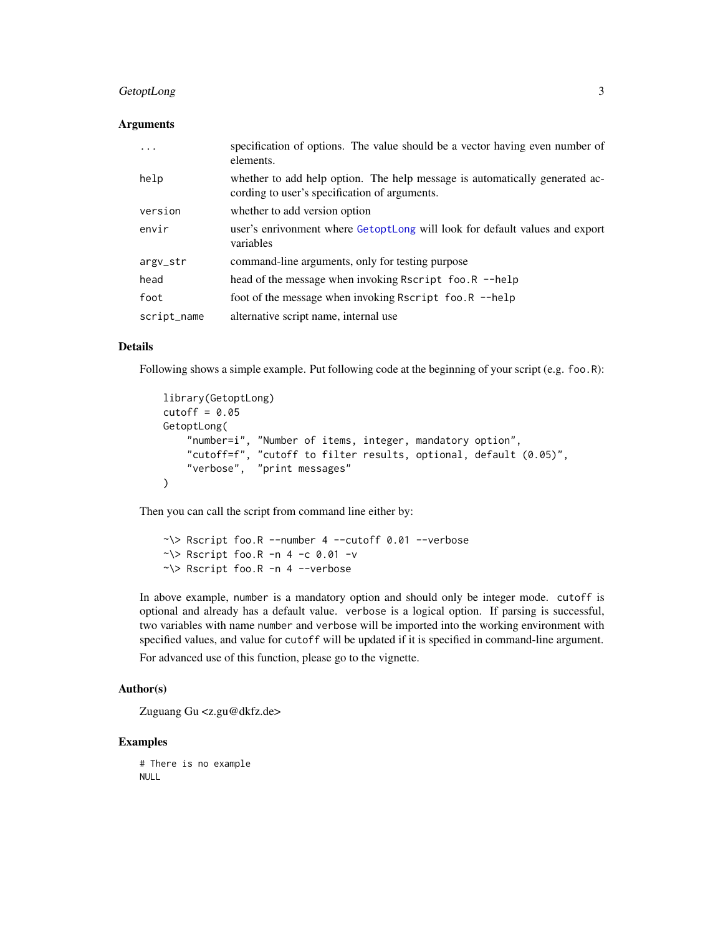#### <span id="page-2-0"></span>GetoptLong 3

#### Arguments

| $\ddotsc$   | specification of options. The value should be a vector having even number of<br>elements.                                    |
|-------------|------------------------------------------------------------------------------------------------------------------------------|
| help        | whether to add help option. The help message is automatically generated ac-<br>cording to user's specification of arguments. |
| version     | whether to add version option                                                                                                |
| envir       | user's enrivonment where GetoptLong will look for default values and export<br>variables                                     |
| argv_str    | command-line arguments, only for testing purpose                                                                             |
| head        | head of the message when invoking Rscript foo.R --help                                                                       |
| foot        | foot of the message when invoking Rscript foo.R --help                                                                       |
| script_name | alternative script name, internal use                                                                                        |

#### Details

Following shows a simple example. Put following code at the beginning of your script (e.g. foo.R):

```
library(GetoptLong)
cutoff = 0.05GetoptLong(
    "number=i", "Number of items, integer, mandatory option",
    "cutoff=f", "cutoff to filter results, optional, default (0.05)",
    "verbose", "print messages"
\lambda
```
Then you can call the script from command line either by:

 $\sim$  > Rscript foo.R --number 4 --cutoff 0.01 --verbose  $\sim$  \> Rscript foo.R -n 4 -c 0.01 -v ~\> Rscript foo.R -n 4 --verbose

In above example, number is a mandatory option and should only be integer mode. cutoff is optional and already has a default value. verbose is a logical option. If parsing is successful, two variables with name number and verbose will be imported into the working environment with specified values, and value for cutoff will be updated if it is specified in command-line argument.

For advanced use of this function, please go to the vignette.

#### Author(s)

Zuguang Gu <z.gu@dkfz.de>

#### Examples

# There is no example NULL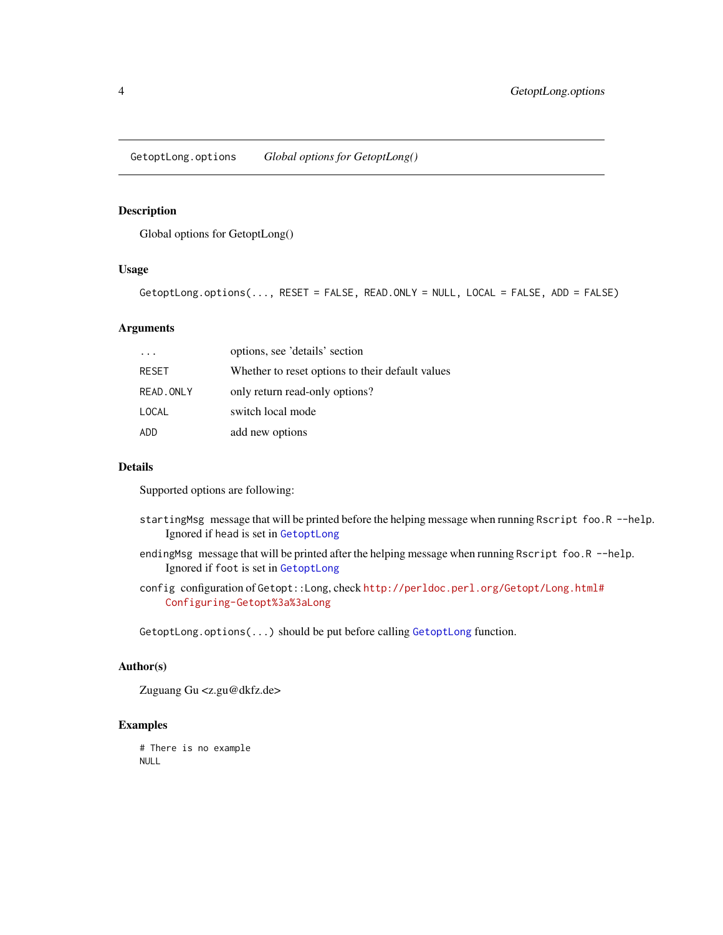<span id="page-3-0"></span>GetoptLong.options *Global options for GetoptLong()*

#### Description

Global options for GetoptLong()

#### Usage

GetoptLong.options(..., RESET = FALSE, READ.ONLY = NULL, LOCAL = FALSE, ADD = FALSE)

#### Arguments

|            | options, see 'details' section                   |
|------------|--------------------------------------------------|
| RESET      | Whether to reset options to their default values |
| READ, ONLY | only return read-only options?                   |
| LOCAL      | switch local mode                                |
| ADD        | add new options                                  |

#### Details

Supported options are following:

- startingMsg message that will be printed before the helping message when running Rscript foo.R --help. Ignored if head is set in [GetoptLong](#page-1-1)
- endingMsg message that will be printed after the helping message when running Rscript foo.R --help. Ignored if foot is set in [GetoptLong](#page-1-1)
- config configuration of Getopt::Long, check [http://perldoc.perl.org/Getopt/Long.html#](http://perldoc.perl.org/Getopt/Long.html#Configuring-Getopt%3a%3aLong) [Configuring-Getopt%3a%3aLong](http://perldoc.perl.org/Getopt/Long.html#Configuring-Getopt%3a%3aLong)

[GetoptLong](#page-1-1).options(...) should be put before calling GetoptLong function.

#### Author(s)

Zuguang Gu <z.gu@dkfz.de>

#### Examples

# There is no example NULL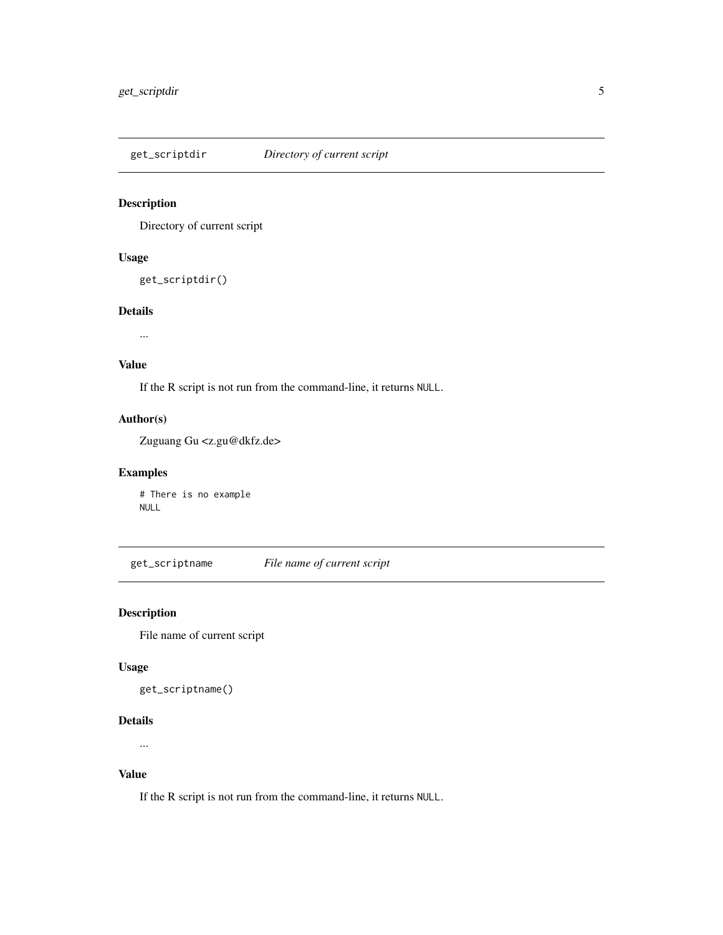<span id="page-4-0"></span>get\_scriptdir *Directory of current script*

#### Description

Directory of current script

#### Usage

```
get_scriptdir()
```
#### Details

...

#### Value

If the R script is not run from the command-line, it returns NULL.

#### Author(s)

Zuguang Gu <z.gu@dkfz.de>

#### Examples

# There is no example NULL

get\_scriptname *File name of current script*

#### Description

File name of current script

#### Usage

```
get_scriptname()
```
#### Details

...

#### Value

If the R script is not run from the command-line, it returns NULL.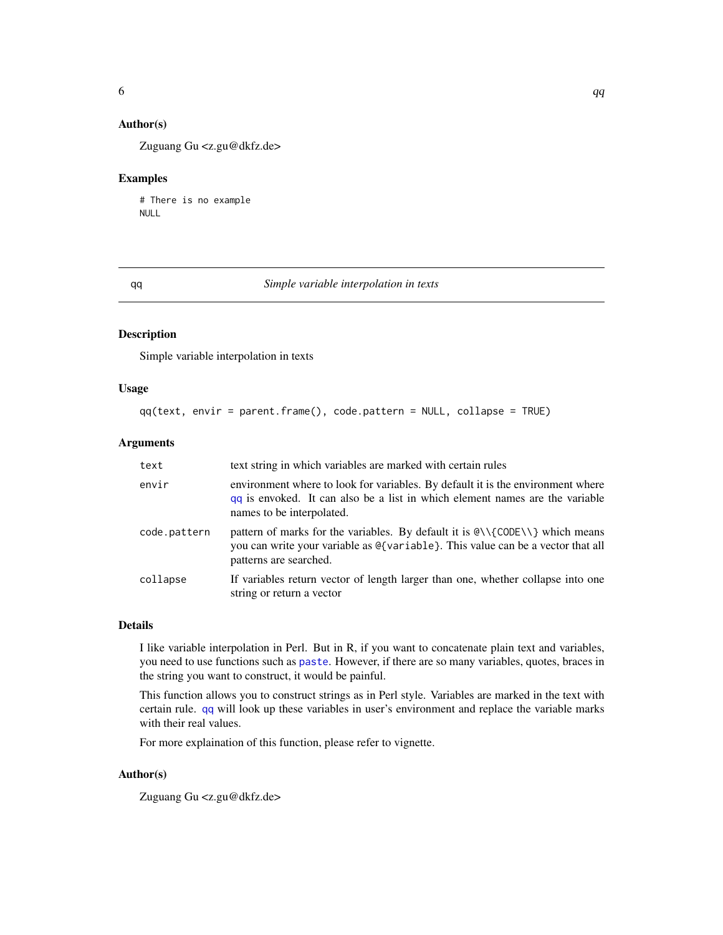#### <span id="page-5-0"></span>Author(s)

Zuguang Gu <z.gu@dkfz.de>

#### Examples

# There is no example NULL

#### <span id="page-5-1"></span>qq *Simple variable interpolation in texts*

#### Description

Simple variable interpolation in texts

#### Usage

```
qq(text, envir = parent.frame(), code.pattern = NULL, collapse = TRUE)
```
#### Arguments

| text         | text string in which variables are marked with certain rules                                                                                                                                                                                           |
|--------------|--------------------------------------------------------------------------------------------------------------------------------------------------------------------------------------------------------------------------------------------------------|
| envir        | environment where to look for variables. By default it is the environment where<br>gq is envoked. It can also be a list in which element names are the variable<br>names to be interpolated.                                                           |
| code.pattern | pattern of marks for the variables. By default it is $\mathcal{C}(\mathsf{CODE} \setminus \mathcal{C})$ which means<br>you can write your variable as $\mathcal{Q}\{\text{variable}\}$ . This value can be a vector that all<br>patterns are searched. |
| collapse     | If variables return vector of length larger than one, whether collapse into one<br>string or return a vector                                                                                                                                           |

#### Details

I like variable interpolation in Perl. But in R, if you want to concatenate plain text and variables, you need to use functions such as [paste](#page-0-0). However, if there are so many variables, quotes, braces in the string you want to construct, it would be painful.

This function allows you to construct strings as in Perl style. Variables are marked in the text with certain rule. [qq](#page-5-1) will look up these variables in user's environment and replace the variable marks with their real values.

For more explaination of this function, please refer to vignette.

#### Author(s)

Zuguang Gu <z.gu@dkfz.de>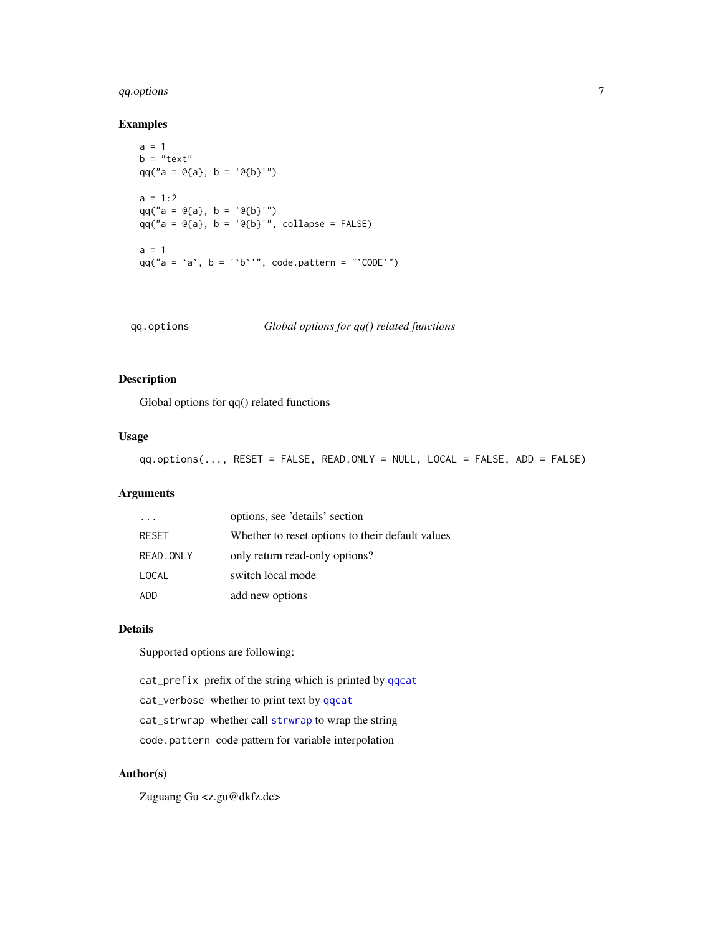#### <span id="page-6-0"></span>qq.options 7

#### Examples

```
a = 1b = "text"qq("a = @{a}, b = '@{b}'")a = 1:2qq("a = @{a}, b = '@{b}'")qq("a = @{a}, b = '@{b}'", collapse = FALSE)
a = 1qq("a = \alpha, b = '\beta'", code.pattern = "\degreeCODE\degree")
```
qq.options *Global options for qq() related functions*

#### Description

Global options for qq() related functions

#### Usage

qq.options(..., RESET = FALSE, READ.ONLY = NULL, LOCAL = FALSE, ADD = FALSE)

#### Arguments

| .         | options, see 'details' section                   |
|-----------|--------------------------------------------------|
| RESET     | Whether to reset options to their default values |
| READ.ONLY | only return read-only options?                   |
| LOCAL     | switch local mode                                |
| ADD       | add new options                                  |

#### Details

Supported options are following:

cat\_prefix prefix of the string which is printed by [qqcat](#page-7-1)

cat\_verbose whether to print text by [qqcat](#page-7-1)

cat\_strwrap whether call [strwrap](#page-0-0) to wrap the string

code.pattern code pattern for variable interpolation

#### Author(s)

Zuguang Gu <z.gu@dkfz.de>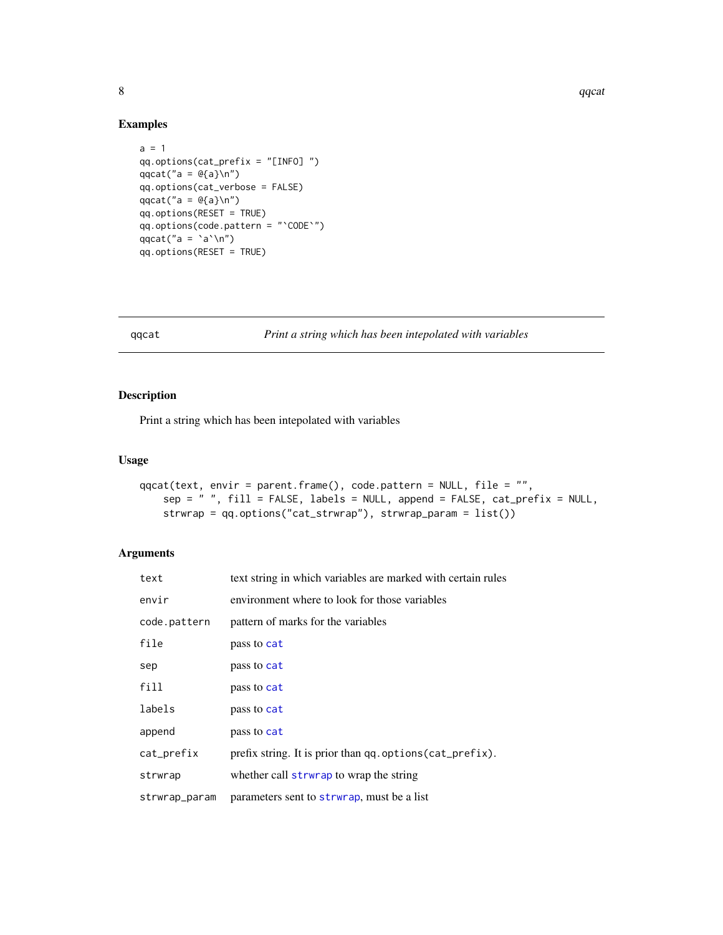#### Examples

```
a = 1qq.options(cat_prefix = "[INFO] ")
qqcat("a = @{a}\n)
qq.options(cat_verbose = FALSE)
qqcat("a = @{a}\n\rangle^n)
qq.options(RESET = TRUE)
qq.options(code.pattern = "`CODE`")
qqcat("a = \alpha \qq.options(RESET = TRUE)
```
<span id="page-7-1"></span>qqcat *Print a string which has been intepolated with variables*

#### Description

Print a string which has been intepolated with variables

#### Usage

```
qqcat(text, envir = parent.frame(), code.pattern = NULL, file = "",
   sep = " ", fill = FALSE, labels = NULL, append = FALSE, cat_prefix = NULL,
   strwrap = qq.options("cat_strwrap"), strwrap_param = list())
```
#### Arguments

| text          | text string in which variables are marked with certain rules |
|---------------|--------------------------------------------------------------|
| envir         | environment where to look for those variables                |
| code.pattern  | pattern of marks for the variables                           |
| file          | pass to cat                                                  |
| sep           | pass to cat                                                  |
| fill          | pass to cat                                                  |
| labels        | pass to cat                                                  |
| append        | pass to cat                                                  |
| cat_prefix    | prefix string. It is prior than qq.options(cat_prefix).      |
| strwrap       | whether call strwrap to wrap the string                      |
| strwrap_param | parameters sent to strwrap, must be a list                   |

<span id="page-7-0"></span>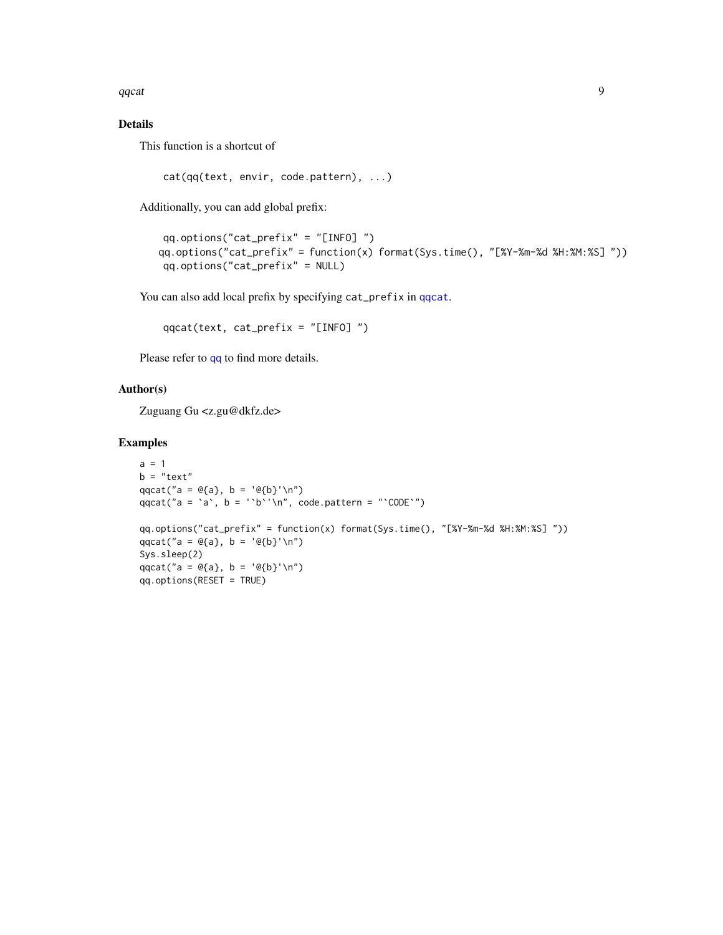<span id="page-8-0"></span>qqcat 9 years and 2008 and 2008 and 2008 and 2008 and 2008 and 2008 and 2008 and 2008 and 2008 and 2008 and 20

#### Details

This function is a shortcut of

cat(qq(text, envir, code.pattern), ...)

Additionally, you can add global prefix:

```
qq.options("cat_prefix" = "[INFO] ")
qq.options("cat_prefix" = function(x) format(Sys.time(), "[%Y-%m-%d %H:%M:%S] "))
qq.options("cat_prefix" = NULL)
```
You can also add local prefix by specifying cat\_prefix in [qqcat](#page-7-1).

```
qqcat(text, cat_prefix = "[INFO] ")
```
Please refer to [qq](#page-5-1) to find more details.

#### Author(s)

Zuguang Gu <z.gu@dkfz.de>

#### Examples

```
a = 1b = "text"qqcat("a = @{a}, b = '@{b}'\n')
qqcat("a = \alpha, b = '\beta'\n", code.pattern = "\betaCODE\gamma")
qq.options("cat_prefix" = function(x) format(Sys.time(), "[%Y-%m-%d %H:%M:%S] "))
qqcat("a = Q{a}, b = 'Q{b}''\n")
Sys.sleep(2)
qqcat("a = @{a}, b = '@{b}'\n")
qq.options(RESET = TRUE)
```